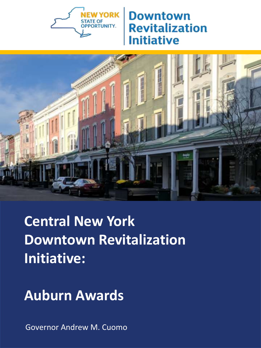

## **Downtown Revitalization Initiative**



## **Central New York Downtown Revitalization Initiative:**

## **Auburn Awards**

Governor Andrew M. Cuomo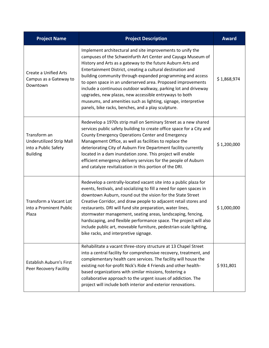| <b>Project Name</b>                                                                        | <b>Project Description</b>                                                                                                                                                                                                                                                                                                                                                                                                                                                                                                                                                                                                                | <b>Award</b> |
|--------------------------------------------------------------------------------------------|-------------------------------------------------------------------------------------------------------------------------------------------------------------------------------------------------------------------------------------------------------------------------------------------------------------------------------------------------------------------------------------------------------------------------------------------------------------------------------------------------------------------------------------------------------------------------------------------------------------------------------------------|--------------|
| <b>Create a Unified Arts</b><br>Campus as a Gateway to<br>Downtown                         | Implement architectural and site improvements to unify the<br>campuses of the Schweinfurth Art Center and Cayuga Museum of<br>History and Arts as a gateway to the future Auburn Arts and<br>Entertainment District, creating a cultural destination and<br>building community through expanded programming and access<br>to open space in an underserved area. Proposed improvements<br>include a continuous outdoor walkway, parking lot and driveway<br>upgrades, new plazas, new accessible entryways to both<br>museums, and amenities such as lighting, signage, interpretive<br>panels, bike racks, benches, and a play sculpture. | \$1,868,974  |
| Transform an<br><b>Underutilized Strip Mall</b><br>into a Public Safety<br><b>Building</b> | Redevelop a 1970s strip mall on Seminary Street as a new shared<br>services public safety building to create office space for a City and<br>County Emergency Operations Center and Emergency<br>Management Office, as well as facilities to replace the<br>deteriorating City of Auburn Fire Department facility currently<br>located in a dam inundation zone. This project will enable<br>efficient emergency delivery services for the people of Auburn<br>and catalyze revitalization in this portion of the DRI.                                                                                                                     | \$1,200,000  |
| Transform a Vacant Lot<br>into a Prominent Public<br>Plaza                                 | Redevelop a centrally-located vacant site into a public plaza for<br>events, festivals, and socializing to fill a need for open spaces in<br>downtown Auburn, round out the vision for the State Street<br>Creative Corridor, and draw people to adjacent retail stores and<br>restaurants. DRI will fund site preparation, water lines,<br>stormwater management, seating areas, landscaping, fencing,<br>hardscaping, and flexible performance space. The project will also<br>include public art, moveable furniture, pedestrian-scale lighting,<br>bike racks, and interpretive signage.                                              | \$1,000,000  |
| <b>Establish Auburn's First</b><br>Peer Recovery Facility                                  | Rehabilitate a vacant three-story structure at 13 Chapel Street<br>into a central facility for comprehensive recovery, treatment, and<br>complementary health care services. The facility will house the<br>existing not-for-profit Nick's Ride 4 Friends and other health-<br>based organizations with similar missions, fostering a<br>collaborative approach to the urgent issues of addiction. The<br>project will include both interior and exterior renovations.                                                                                                                                                                    | \$931,801    |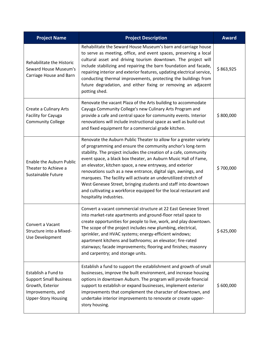| <b>Project Name</b>                                                                                                         | <b>Project Description</b>                                                                                                                                                                                                                                                                                                                                                                                                                                                                                                                                                                                                                  | <b>Award</b> |
|-----------------------------------------------------------------------------------------------------------------------------|---------------------------------------------------------------------------------------------------------------------------------------------------------------------------------------------------------------------------------------------------------------------------------------------------------------------------------------------------------------------------------------------------------------------------------------------------------------------------------------------------------------------------------------------------------------------------------------------------------------------------------------------|--------------|
| Rehabilitate the Historic<br>Seward House Museum's<br>Carriage House and Barn                                               | Rehabilitate the Seward House Museum's barn and carriage house<br>to serve as meeting, office, and event spaces, preserving a local<br>cultural asset and driving tourism downtown. The project will<br>include stabilizing and repairing the barn foundation and facade,<br>repairing interior and exterior features, updating electrical service,<br>conducting thermal improvements, protecting the buildings from<br>future degradation, and either fixing or removing an adjacent<br>potting shed.                                                                                                                                     | \$863,925    |
| Create a Culinary Arts<br>Facility for Cayuga<br><b>Community College</b>                                                   | Renovate the vacant Plaza of the Arts building to accommodate<br>Cayuga Community College's new Culinary Arts Program and<br>provide a cafe and central space for community events. Interior<br>renovations will include instructional space as well as build-out<br>and fixed equipment for a commercial grade kitchen.                                                                                                                                                                                                                                                                                                                    | \$800,000    |
| <b>Enable the Auburn Public</b><br>Theater to Achieve a<br>Sustainable Future                                               | Renovate the Auburn Public Theater to allow for a greater variety<br>of programming and ensure the community anchor's long-term<br>stability. The project includes the creation of a cafe, community<br>event space, a black box theater, an Auburn Music Hall of Fame,<br>an elevator, kitchen space, a new entryway, and exterior<br>renovations such as a new entrance, digital sign, awnings, and<br>marquees. The facility will activate an underutilized stretch of<br>West Genesee Street, bringing students and staff into downtown<br>and cultivating a workforce equipped for the local restaurant and<br>hospitality industries. | \$700,000    |
| Convert a Vacant<br>Structure into a Mixed-<br>Use Development                                                              | Convert a vacant commercial structure at 22 East Genesee Street<br>into market-rate apartments and ground-floor retail space to<br>create opportunities for people to live, work, and play downtown.<br>The scope of the project includes new plumbing, electrical,<br>sprinkler, and HVAC systems; energy-efficient windows;<br>apartment kitchens and bathrooms; an elevator; fire-rated<br>stairways; facade improvements; flooring and finishes; masonry<br>and carpentry; and storage units.                                                                                                                                           | \$625,000    |
| Establish a Fund to<br><b>Support Small Business</b><br>Growth, Exterior<br>Improvements, and<br><b>Upper-Story Housing</b> | Establish a fund to support the establishment and growth of small<br>businesses, improve the built environment, and increase housing<br>options in downtown Auburn. The program will provide financial<br>support to establish or expand businesses, implement exterior<br>improvements that complement the character of downtown, and<br>undertake interior improvements to renovate or create upper-<br>story housing.                                                                                                                                                                                                                    | \$600,000    |